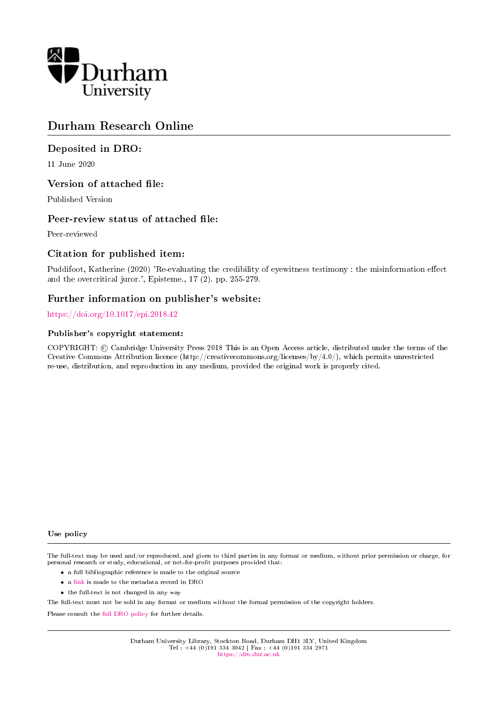

# Durham Research Online

# Deposited in DRO:

11 June 2020

# Version of attached file:

Published Version

# Peer-review status of attached file:

Peer-reviewed

# Citation for published item:

Puddifoot, Katherine (2020) 'Re-evaluating the credibility of eyewitness testimony : the misinformation effect and the overcritical juror.', Episteme., 17 (2). pp. 255-279.

# Further information on publisher's website:

## <https://doi.org/10.1017/epi.2018.42>

## Publisher's copyright statement:

COPYRIGHT: © Cambridge University Press 2018 This is an Open Access article, distributed under the terms of the Creative Commons Attribution licence (http://creativecommons.org/licenses/by/4.0/), which permits unrestricted re-use, distribution, and reproduction in any medium, provided the original work is properly cited.

### Use policy

The full-text may be used and/or reproduced, and given to third parties in any format or medium, without prior permission or charge, for personal research or study, educational, or not-for-profit purposes provided that:

- a full bibliographic reference is made to the original source
- a [link](http://dro.dur.ac.uk/26586/) is made to the metadata record in DRO
- the full-text is not changed in any way

The full-text must not be sold in any format or medium without the formal permission of the copyright holders.

Please consult the [full DRO policy](https://dro.dur.ac.uk/policies/usepolicy.pdf) for further details.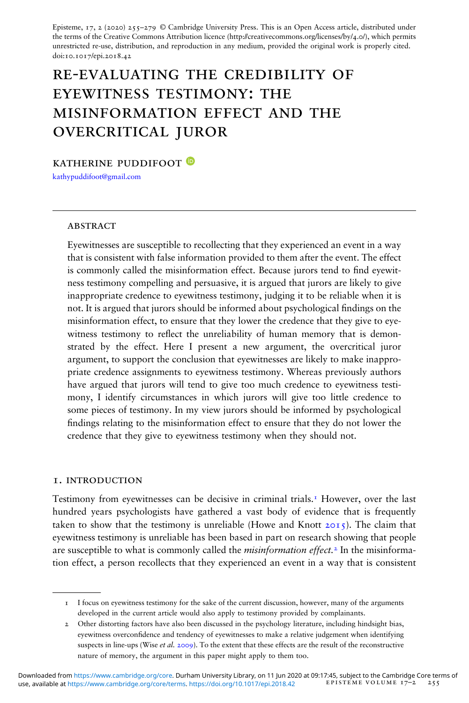Episteme, 17, 2 (2020) 255–279 © Cambridge University Press. This is an Open Access article, distributed under the terms of the Creative Commons Attribution licence (http://creativecommons.org/licenses/by/4.0/), which permits unrestricted re-use, distribution, and reproduction in any medium, provided the original work is properly cited. doi:10.1017/epi.2018.42

# re-evaluating the credibility of eyewitness testimony: the misinformation effect and the overcritical juror

katherine puddifoot

[kathypuddifoot@gmail.com](mailto:kathypuddifoot@gmail.com)

#### **ABSTRACT**

Eyewitnesses are susceptible to recollecting that they experienced an event in a way that is consistent with false information provided to them after the event. The effect is commonly called the misinformation effect. Because jurors tend to find eyewitness testimony compelling and persuasive, it is argued that jurors are likely to give inappropriate credence to eyewitness testimony, judging it to be reliable when it is not. It is argued that jurors should be informed about psychological findings on the misinformation effect, to ensure that they lower the credence that they give to eyewitness testimony to reflect the unreliability of human memory that is demonstrated by the effect. Here I present a new argument, the overcritical juror argument, to support the conclusion that eyewitnesses are likely to make inappropriate credence assignments to eyewitness testimony. Whereas previously authors have argued that jurors will tend to give too much credence to eyewitness testimony, I identify circumstances in which jurors will give too little credence to some pieces of testimony. In my view jurors should be informed by psychological findings relating to the misinformation effect to ensure that they do not lower the credence that they give to eyewitness testimony when they should not.

#### 1. introduction

Testimony from eyewitnesses can be decisive in criminal trials.<sup>1</sup> However, over the last hundred years psychologists have gathered a vast body of evidence that is frequently taken to show that the testimony is unreliable (Howe and Knott  $20I_5$ ). The claim that eyewitness testimony is unreliable has been based in part on research showing that people are susceptible to what is commonly called the *misinformation effect*.<sup>2</sup> In the misinformation effect, a person recollects that they experienced an event in a way that is consistent

<sup>1</sup> I focus on eyewitness testimony for the sake of the current discussion, however, many of the arguments developed in the current article would also apply to testimony provided by complainants.

<sup>2</sup> Other distorting factors have also been discussed in the psychology literature, including hindsight bias, eyewitness overcondence and tendency of eyewitnesses to make a relative judgement when identifying suspects in line-ups (Wise et al. 2009). To the extent that these effects are the result of the reconstructive nature of memory, the argument in this paper might apply to them too.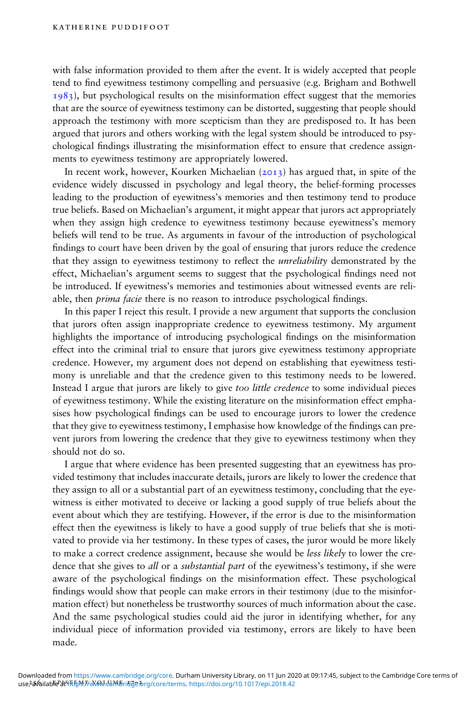with false information provided to them after the event. It is widely accepted that people tend to find eyewitness testimony compelling and persuasive (e.g. Brigham and Bothwell  $1983$ ), but psychological results on the misinformation effect suggest that the memories that are the source of eyewitness testimony can be distorted, suggesting that people should approach the testimony with more scepticism than they are predisposed to. It has been argued that jurors and others working with the legal system should be introduced to psychological ndings illustrating the misinformation effect to ensure that credence assignments to eyewitness testimony are appropriately lowered.

In recent work, however, Kourken Michaelian  $(2013)$  has argued that, in spite of the evidence widely discussed in psychology and legal theory, the belief-forming processes leading to the production of eyewitness's memories and then testimony tend to produce true beliefs. Based on Michaelian's argument, it might appear that jurors act appropriately when they assign high credence to eyewitness testimony because eyewitness's memory beliefs will tend to be true. As arguments in favour of the introduction of psychological findings to court have been driven by the goal of ensuring that jurors reduce the credence that they assign to eyewitness testimony to reflect the *unreliability* demonstrated by the effect, Michaelian's argument seems to suggest that the psychological findings need not be introduced. If eyewitness's memories and testimonies about witnessed events are reliable, then *prima facie* there is no reason to introduce psychological findings.

In this paper I reject this result. I provide a new argument that supports the conclusion that jurors often assign inappropriate credence to eyewitness testimony. My argument highlights the importance of introducing psychological findings on the misinformation effect into the criminal trial to ensure that jurors give eyewitness testimony appropriate credence. However, my argument does not depend on establishing that eyewitness testimony is unreliable and that the credence given to this testimony needs to be lowered. Instead I argue that jurors are likely to give too little credence to some individual pieces of eyewitness testimony. While the existing literature on the misinformation effect emphasises how psychological ndings can be used to encourage jurors to lower the credence that they give to eyewitness testimony, I emphasise how knowledge of the findings can prevent jurors from lowering the credence that they give to eyewitness testimony when they should not do so.

I argue that where evidence has been presented suggesting that an eyewitness has provided testimony that includes inaccurate details, jurors are likely to lower the credence that they assign to all or a substantial part of an eyewitness testimony, concluding that the eyewitness is either motivated to deceive or lacking a good supply of true beliefs about the event about which they are testifying. However, if the error is due to the misinformation effect then the eyewitness is likely to have a good supply of true beliefs that she is motivated to provide via her testimony. In these types of cases, the juror would be more likely to make a correct credence assignment, because she would be less likely to lower the credence that she gives to all or a substantial part of the eyewitness's testimony, if she were aware of the psychological findings on the misinformation effect. These psychological findings would show that people can make errors in their testimony (due to the misinformation effect) but nonetheless be trustworthy sources of much information about the case. And the same psychological studies could aid the juror in identifying whether, for any individual piece of information provided via testimony, errors are likely to have been made.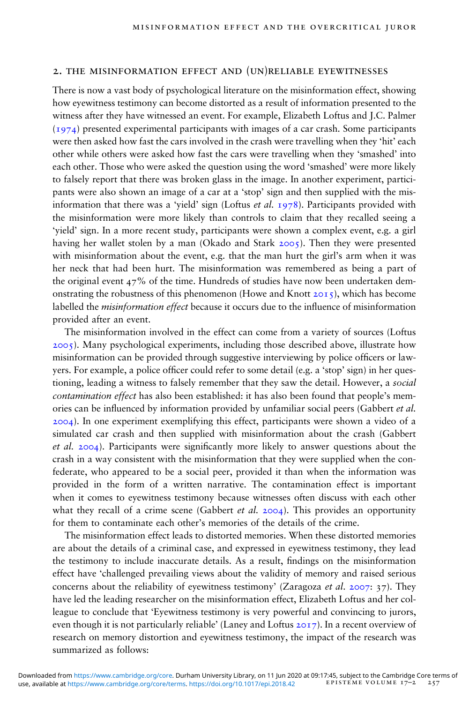### 2. the misinformation effect and (un)reliable eyewitnesses

There is now a vast body of psychological literature on the misinformation effect, showing how eyewitness testimony can become distorted as a result of information presented to the witness after they have witnessed an event. For example, Elizabeth Loftus and J.C. Palmer (1974) presented experimental participants with images of a car crash. Some participants were then asked how fast the cars involved in the crash were travelling when they 'hit' each other while others were asked how fast the cars were travelling when they 'smashed' into each other. Those who were asked the question using the word 'smashed' were more likely to falsely report that there was broken glass in the image. In another experiment, participants were also shown an image of a car at a 'stop' sign and then supplied with the misinformation that there was a 'yield' sign (Loftus et al. 1978). Participants provided with the misinformation were more likely than controls to claim that they recalled seeing a 'yield' sign. In a more recent study, participants were shown a complex event, e.g. a girl having her wallet stolen by a man (Okado and Stark 2005). Then they were presented with misinformation about the event, e.g. that the man hurt the girl's arm when it was her neck that had been hurt. The misinformation was remembered as being a part of the original event  $47\%$  of the time. Hundreds of studies have now been undertaken demonstrating the robustness of this phenomenon (Howe and Knott  $20I_5$ ), which has become labelled the *misinformation effect* because it occurs due to the influence of misinformation provided after an event.

The misinformation involved in the effect can come from a variety of sources (Loftus 2005). Many psychological experiments, including those described above, illustrate how misinformation can be provided through suggestive interviewing by police officers or lawyers. For example, a police officer could refer to some detail (e.g. a 'stop' sign) in her questioning, leading a witness to falsely remember that they saw the detail. However, a social contamination effect has also been established: it has also been found that people's memories can be influenced by information provided by unfamiliar social peers (Gabbert et al. 2004). In one experiment exemplifying this effect, participants were shown a video of a simulated car crash and then supplied with misinformation about the crash (Gabbert et al.  $2004$ ). Participants were significantly more likely to answer questions about the crash in a way consistent with the misinformation that they were supplied when the confederate, who appeared to be a social peer, provided it than when the information was provided in the form of a written narrative. The contamination effect is important when it comes to eyewitness testimony because witnesses often discuss with each other what they recall of a crime scene (Gabbert *et al.* 2004). This provides an opportunity for them to contaminate each other's memories of the details of the crime.

The misinformation effect leads to distorted memories. When these distorted memories are about the details of a criminal case, and expressed in eyewitness testimony, they lead the testimony to include inaccurate details. As a result, findings on the misinformation effect have 'challenged prevailing views about the validity of memory and raised serious concerns about the reliability of eyewitness testimony' (Zaragoza *et al.* 2007: 37). They have led the leading researcher on the misinformation effect, Elizabeth Loftus and her colleague to conclude that 'Eyewitness testimony is very powerful and convincing to jurors, even though it is not particularly reliable' (Laney and Loftus 2017). In a recent overview of research on memory distortion and eyewitness testimony, the impact of the research was summarized as follows: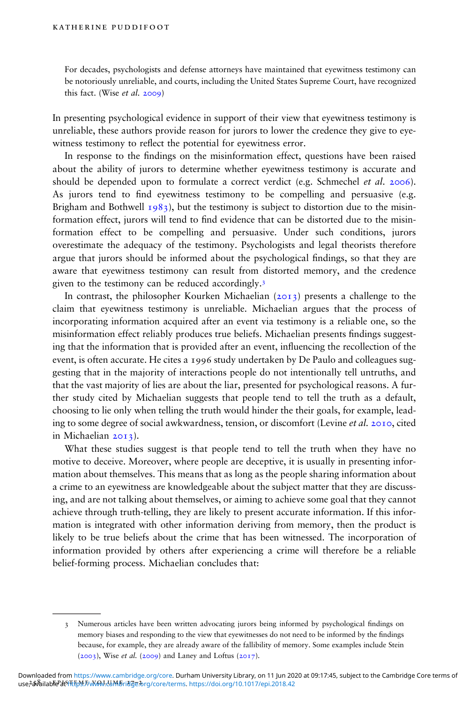For decades, psychologists and defense attorneys have maintained that eyewitness testimony can be notoriously unreliable, and courts, including the United States Supreme Court, have recognized this fact. (Wise et al. 2009)

In presenting psychological evidence in support of their view that eyewitness testimony is unreliable, these authors provide reason for jurors to lower the credence they give to eyewitness testimony to reflect the potential for eyewitness error.

In response to the findings on the misinformation effect, questions have been raised about the ability of jurors to determine whether eyewitness testimony is accurate and should be depended upon to formulate a correct verdict (e.g. Schmechel et al. 2006). As jurors tend to find eyewitness testimony to be compelling and persuasive (e.g. Brigham and Bothwell  $1983$ , but the testimony is subject to distortion due to the misinformation effect, jurors will tend to find evidence that can be distorted due to the misinformation effect to be compelling and persuasive. Under such conditions, jurors overestimate the adequacy of the testimony. Psychologists and legal theorists therefore argue that jurors should be informed about the psychological findings, so that they are aware that eyewitness testimony can result from distorted memory, and the credence given to the testimony can be reduced accordingly.3

In contrast, the philosopher Kourken Michaelian  $(2013)$  presents a challenge to the claim that eyewitness testimony is unreliable. Michaelian argues that the process of incorporating information acquired after an event via testimony is a reliable one, so the misinformation effect reliably produces true beliefs. Michaelian presents findings suggesting that the information that is provided after an event, influencing the recollection of the event, is often accurate. He cites a 1996 study undertaken by De Paulo and colleagues suggesting that in the majority of interactions people do not intentionally tell untruths, and that the vast majority of lies are about the liar, presented for psychological reasons. A further study cited by Michaelian suggests that people tend to tell the truth as a default, choosing to lie only when telling the truth would hinder the their goals, for example, leading to some degree of social awkwardness, tension, or discomfort (Levine et al. 2010, cited in Michaelian 2013).

What these studies suggest is that people tend to tell the truth when they have no motive to deceive. Moreover, where people are deceptive, it is usually in presenting information about themselves. This means that as long as the people sharing information about a crime to an eyewitness are knowledgeable about the subject matter that they are discussing, and are not talking about themselves, or aiming to achieve some goal that they cannot achieve through truth-telling, they are likely to present accurate information. If this information is integrated with other information deriving from memory, then the product is likely to be true beliefs about the crime that has been witnessed. The incorporation of information provided by others after experiencing a crime will therefore be a reliable belief-forming process. Michaelian concludes that:

<sup>3</sup> Numerous articles have been written advocating jurors being informed by psychological ndings on memory biases and responding to the view that eyewitnesses do not need to be informed by the findings because, for example, they are already aware of the fallibility of memory. Some examples include Stein  $(2003)$ , Wise *et al.*  $(2009)$  and Laney and Loftus  $(2017)$ .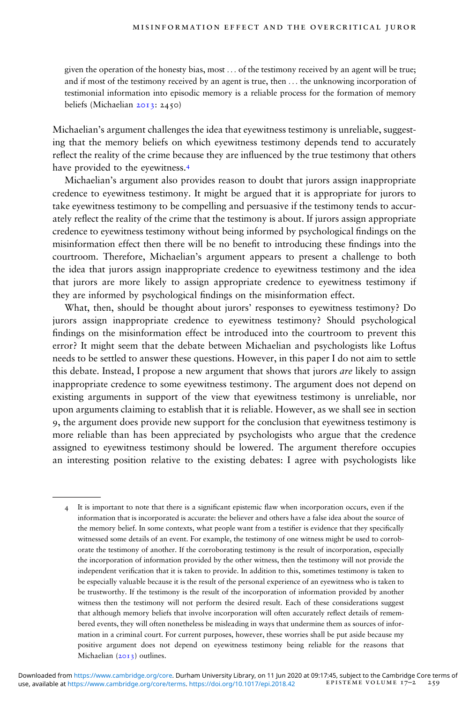given the operation of the honesty bias, most ... of the testimony received by an agent will be true; and if most of the testimony received by an agent is true, then ... the unknowing incorporation of testimonial information into episodic memory is a reliable process for the formation of memory beliefs (Michaelian 2013: 2450)

Michaelian's argument challenges the idea that eyewitness testimony is unreliable, suggesting that the memory beliefs on which eyewitness testimony depends tend to accurately reflect the reality of the crime because they are influenced by the true testimony that others have provided to the eyewitness.4

Michaelian's argument also provides reason to doubt that jurors assign inappropriate credence to eyewitness testimony. It might be argued that it is appropriate for jurors to take eyewitness testimony to be compelling and persuasive if the testimony tends to accurately reflect the reality of the crime that the testimony is about. If jurors assign appropriate credence to eyewitness testimony without being informed by psychological ndings on the misinformation effect then there will be no benefit to introducing these findings into the courtroom. Therefore, Michaelian's argument appears to present a challenge to both the idea that jurors assign inappropriate credence to eyewitness testimony and the idea that jurors are more likely to assign appropriate credence to eyewitness testimony if they are informed by psychological findings on the misinformation effect.

What, then, should be thought about jurors' responses to eyewitness testimony? Do jurors assign inappropriate credence to eyewitness testimony? Should psychological findings on the misinformation effect be introduced into the courtroom to prevent this error? It might seem that the debate between Michaelian and psychologists like Loftus needs to be settled to answer these questions. However, in this paper I do not aim to settle this debate. Instead, I propose a new argument that shows that jurors *are* likely to assign inappropriate credence to some eyewitness testimony. The argument does not depend on existing arguments in support of the view that eyewitness testimony is unreliable, nor upon arguments claiming to establish that it is reliable. However, as we shall see in section 9, the argument does provide new support for the conclusion that eyewitness testimony is more reliable than has been appreciated by psychologists who argue that the credence assigned to eyewitness testimony should be lowered. The argument therefore occupies an interesting position relative to the existing debates: I agree with psychologists like

<sup>4</sup> It is important to note that there is a significant epistemic flaw when incorporation occurs, even if the information that is incorporated is accurate: the believer and others have a false idea about the source of the memory belief. In some contexts, what people want from a testifier is evidence that they specifically witnessed some details of an event. For example, the testimony of one witness might be used to corroborate the testimony of another. If the corroborating testimony is the result of incorporation, especially the incorporation of information provided by the other witness, then the testimony will not provide the independent verification that it is taken to provide. In addition to this, sometimes testimony is taken to be especially valuable because it is the result of the personal experience of an eyewitness who is taken to be trustworthy. If the testimony is the result of the incorporation of information provided by another witness then the testimony will not perform the desired result. Each of these considerations suggest that although memory beliefs that involve incorporation will often accurately reflect details of remembered events, they will often nonetheless be misleading in ways that undermine them as sources of information in a criminal court. For current purposes, however, these worries shall be put aside because my positive argument does not depend on eyewitness testimony being reliable for the reasons that Michaelian  $(2013)$  outlines.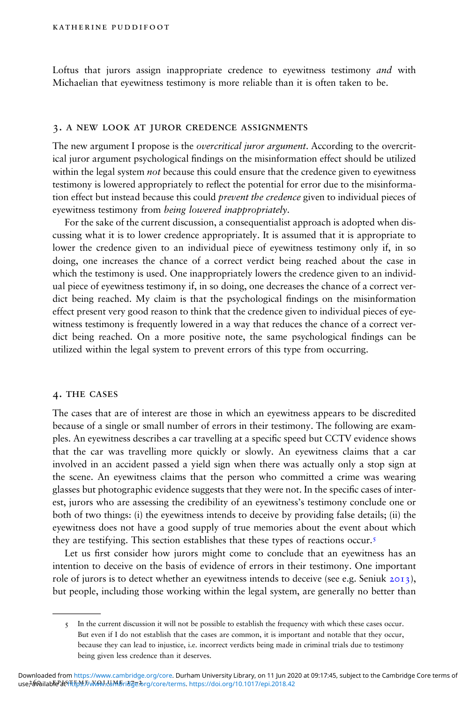Loftus that jurors assign inappropriate credence to eyewitness testimony *and* with Michaelian that eyewitness testimony is more reliable than it is often taken to be.

#### 3. a new look at juror credence assignments

The new argument I propose is the *overcritical juror argument*. According to the overcritical juror argument psychological findings on the misinformation effect should be utilized within the legal system *not* because this could ensure that the credence given to eyewitness testimony is lowered appropriately to reflect the potential for error due to the misinformation effect but instead because this could *prevent the credence* given to individual pieces of eyewitness testimony from being lowered inappropriately.

For the sake of the current discussion, a consequentialist approach is adopted when discussing what it is to lower credence appropriately. It is assumed that it is appropriate to lower the credence given to an individual piece of eyewitness testimony only if, in so doing, one increases the chance of a correct verdict being reached about the case in which the testimony is used. One inappropriately lowers the credence given to an individual piece of eyewitness testimony if, in so doing, one decreases the chance of a correct verdict being reached. My claim is that the psychological findings on the misinformation effect present very good reason to think that the credence given to individual pieces of eyewitness testimony is frequently lowered in a way that reduces the chance of a correct verdict being reached. On a more positive note, the same psychological findings can be utilized within the legal system to prevent errors of this type from occurring.

#### 4. the cases

The cases that are of interest are those in which an eyewitness appears to be discredited because of a single or small number of errors in their testimony. The following are examples. An eyewitness describes a car travelling at a specific speed but CCTV evidence shows that the car was travelling more quickly or slowly. An eyewitness claims that a car involved in an accident passed a yield sign when there was actually only a stop sign at the scene. An eyewitness claims that the person who committed a crime was wearing glasses but photographic evidence suggests that they were not. In the specific cases of interest, jurors who are assessing the credibility of an eyewitness's testimony conclude one or both of two things: (i) the eyewitness intends to deceive by providing false details; (ii) the eyewitness does not have a good supply of true memories about the event about which they are testifying. This section establishes that these types of reactions occur.5

Let us first consider how jurors might come to conclude that an eyewitness has an intention to deceive on the basis of evidence of errors in their testimony. One important role of jurors is to detect whether an eyewitness intends to deceive (see e.g. Seniuk 2013), but people, including those working within the legal system, are generally no better than

<sup>5</sup> In the current discussion it will not be possible to establish the frequency with which these cases occur. But even if I do not establish that the cases are common, it is important and notable that they occur, because they can lead to injustice, i.e. incorrect verdicts being made in criminal trials due to testimony being given less credence than it deserves.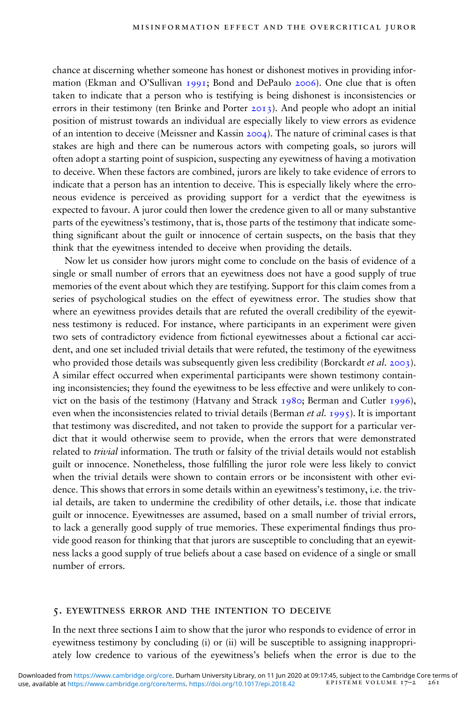chance at discerning whether someone has honest or dishonest motives in providing information (Ekman and O'Sullivan 1991; Bond and DePaulo 2006). One clue that is often taken to indicate that a person who is testifying is being dishonest is inconsistencies or errors in their testimony (ten Brinke and Porter  $2013$ ). And people who adopt an initial position of mistrust towards an individual are especially likely to view errors as evidence of an intention to deceive (Meissner and Kassin 2004). The nature of criminal cases is that stakes are high and there can be numerous actors with competing goals, so jurors will often adopt a starting point of suspicion, suspecting any eyewitness of having a motivation to deceive. When these factors are combined, jurors are likely to take evidence of errors to indicate that a person has an intention to deceive. This is especially likely where the erroneous evidence is perceived as providing support for a verdict that the eyewitness is expected to favour. A juror could then lower the credence given to all or many substantive parts of the eyewitness's testimony, that is, those parts of the testimony that indicate something significant about the guilt or innocence of certain suspects, on the basis that they think that the eyewitness intended to deceive when providing the details.

Now let us consider how jurors might come to conclude on the basis of evidence of a single or small number of errors that an eyewitness does not have a good supply of true memories of the event about which they are testifying. Support for this claim comes from a series of psychological studies on the effect of eyewitness error. The studies show that where an eyewitness provides details that are refuted the overall credibility of the eyewitness testimony is reduced. For instance, where participants in an experiment were given two sets of contradictory evidence from fictional eyewitnesses about a fictional car accident, and one set included trivial details that were refuted, the testimony of the eyewitness who provided those details was subsequently given less credibility (Borckardt et al. 2003). A similar effect occurred when experimental participants were shown testimony containing inconsistencies; they found the eyewitness to be less effective and were unlikely to convict on the basis of the testimony (Hatvany and Strack 1980; Berman and Cutler 1996), even when the inconsistencies related to trivial details (Berman *et al.* 1995). It is important that testimony was discredited, and not taken to provide the support for a particular verdict that it would otherwise seem to provide, when the errors that were demonstrated related to *trivial* information. The truth or falsity of the trivial details would not establish guilt or innocence. Nonetheless, those fullling the juror role were less likely to convict when the trivial details were shown to contain errors or be inconsistent with other evidence. This shows that errors in some details within an eyewitness's testimony, i.e. the trivial details, are taken to undermine the credibility of other details, i.e. those that indicate guilt or innocence. Eyewitnesses are assumed, based on a small number of trivial errors, to lack a generally good supply of true memories. These experimental findings thus provide good reason for thinking that that jurors are susceptible to concluding that an eyewitness lacks a good supply of true beliefs about a case based on evidence of a single or small number of errors.

#### 5. eyewitness error and the intention to deceive

In the next three sections I aim to show that the juror who responds to evidence of error in eyewitness testimony by concluding (i) or (ii) will be susceptible to assigning inappropriately low credence to various of the eyewitness's beliefs when the error is due to the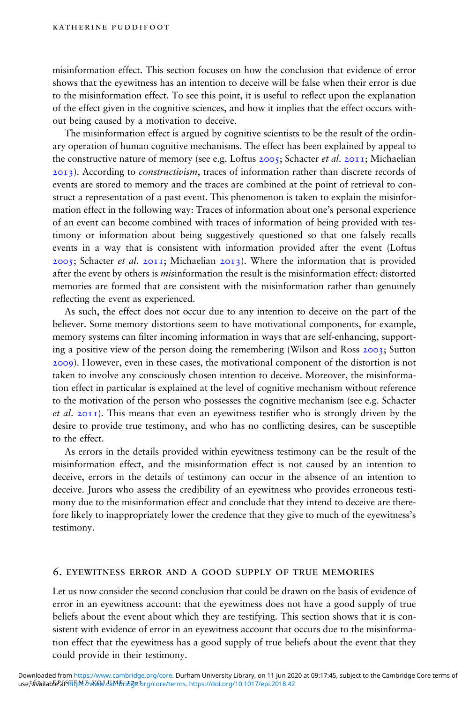misinformation effect. This section focuses on how the conclusion that evidence of error shows that the eyewitness has an intention to deceive will be false when their error is due to the misinformation effect. To see this point, it is useful to reflect upon the explanation of the effect given in the cognitive sciences, and how it implies that the effect occurs without being caused by a motivation to deceive.

The misinformation effect is argued by cognitive scientists to be the result of the ordinary operation of human cognitive mechanisms. The effect has been explained by appeal to the constructive nature of memory (see e.g. Loftus  $2005$ ; Schacter *et al.*  $2011$ ; Michaelian 2013). According to *constructivism*, traces of information rather than discrete records of events are stored to memory and the traces are combined at the point of retrieval to construct a representation of a past event. This phenomenon is taken to explain the misinformation effect in the following way: Traces of information about one's personal experience of an event can become combined with traces of information of being provided with testimony or information about being suggestively questioned so that one falsely recalls events in a way that is consistent with information provided after the event (Loftus  $2005$ ; Schacter *et al.*  $2011$ ; Michaelian  $2013$ ). Where the information that is provided after the event by others is *misinformation* the result is the misinformation effect: distorted memories are formed that are consistent with the misinformation rather than genuinely reflecting the event as experienced.

As such, the effect does not occur due to any intention to deceive on the part of the believer. Some memory distortions seem to have motivational components, for example, memory systems can filter incoming information in ways that are self-enhancing, supporting a positive view of the person doing the remembering (Wilson and Ross 2003; Sutton 2009). However, even in these cases, the motivational component of the distortion is not taken to involve any consciously chosen intention to deceive. Moreover, the misinformation effect in particular is explained at the level of cognitive mechanism without reference to the motivation of the person who possesses the cognitive mechanism (see e.g. Schacter *et al.*  $2011$ ). This means that even an eyewitness testifier who is strongly driven by the desire to provide true testimony, and who has no conflicting desires, can be susceptible to the effect.

As errors in the details provided within eyewitness testimony can be the result of the misinformation effect, and the misinformation effect is not caused by an intention to deceive, errors in the details of testimony can occur in the absence of an intention to deceive. Jurors who assess the credibility of an eyewitness who provides erroneous testimony due to the misinformation effect and conclude that they intend to deceive are therefore likely to inappropriately lower the credence that they give to much of the eyewitness's testimony.

#### 6. eyewitness error and a good supply of true memories

Let us now consider the second conclusion that could be drawn on the basis of evidence of error in an eyewitness account: that the eyewitness does not have a good supply of true beliefs about the event about which they are testifying. This section shows that it is consistent with evidence of error in an eyewitness account that occurs due to the misinformation effect that the eyewitness has a good supply of true beliefs about the event that they could provide in their testimony.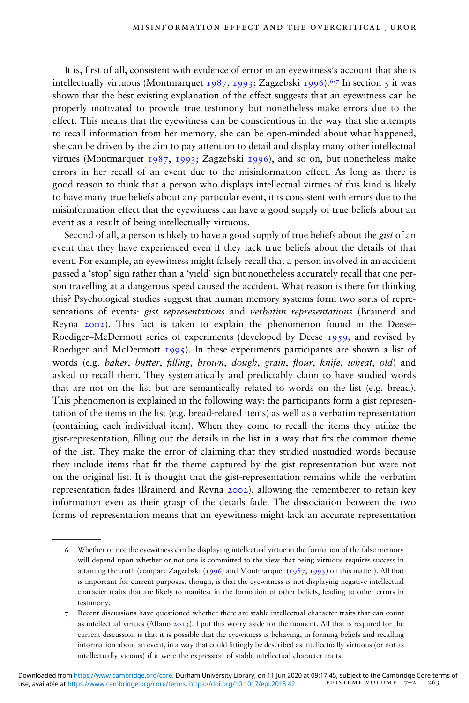It is, first of all, consistent with evidence of error in an eyewitness's account that she is intellectually virtuous (Montmarquet 1987, 1993; Zagzebski 1996).<sup>6,7</sup> In section 5 it was shown that the best existing explanation of the effect suggests that an eyewitness can be properly motivated to provide true testimony but nonetheless make errors due to the effect. This means that the eyewitness can be conscientious in the way that she attempts to recall information from her memory, she can be open-minded about what happened, she can be driven by the aim to pay attention to detail and display many other intellectual virtues (Montmarquet 1987, 1993; Zagzebski 1996), and so on, but nonetheless make errors in her recall of an event due to the misinformation effect. As long as there is good reason to think that a person who displays intellectual virtues of this kind is likely to have many true beliefs about any particular event, it is consistent with errors due to the misinformation effect that the eyewitness can have a good supply of true beliefs about an event as a result of being intellectually virtuous.

Second of all, a person is likely to have a good supply of true beliefs about the gist of an event that they have experienced even if they lack true beliefs about the details of that event. For example, an eyewitness might falsely recall that a person involved in an accident passed a 'stop' sign rather than a 'yield' sign but nonetheless accurately recall that one person travelling at a dangerous speed caused the accident. What reason is there for thinking this? Psychological studies suggest that human memory systems form two sorts of representations of events: gist representations and verbatim representations (Brainerd and Reyna 2002). This fact is taken to explain the phenomenon found in the Deese– Roediger–McDermott series of experiments (developed by Deese 1959, and revised by Roediger and McDermott  $1995$ ). In these experiments participants are shown a list of words (e.g. baker, butter, filling, brown, dough, grain, flour, knife, wheat, old) and asked to recall them. They systematically and predictably claim to have studied words that are not on the list but are semantically related to words on the list (e.g. bread). This phenomenon is explained in the following way: the participants form a gist representation of the items in the list (e.g. bread-related items) as well as a verbatim representation (containing each individual item). When they come to recall the items they utilize the gist-representation, filling out the details in the list in a way that fits the common theme of the list. They make the error of claiming that they studied unstudied words because they include items that fit the theme captured by the gist representation but were not on the original list. It is thought that the gist-representation remains while the verbatim representation fades (Brainerd and Reyna 2002), allowing the rememberer to retain key information even as their grasp of the details fade. The dissociation between the two forms of representation means that an eyewitness might lack an accurate representation

<sup>6</sup> Whether or not the eyewitness can be displaying intellectual virtue in the formation of the false memory will depend upon whether or not one is committed to the view that being virtuous requires success in attaining the truth (compare Zagzebski (1996) and Montmarquet (1987, 1993) on this matter). All that is important for current purposes, though, is that the eyewitness is not displaying negative intellectual character traits that are likely to manifest in the formation of other beliefs, leading to other errors in testimony.

<sup>7</sup> Recent discussions have questioned whether there are stable intellectual character traits that can count as intellectual virtues (Alfano 2013). I put this worry aside for the moment. All that is required for the current discussion is that it is possible that the eyewitness is behaving, in forming beliefs and recalling information about an event, in a way that could ttingly be described as intellectually virtuous (or not as intellectually vicious) if it were the expression of stable intellectual character traits.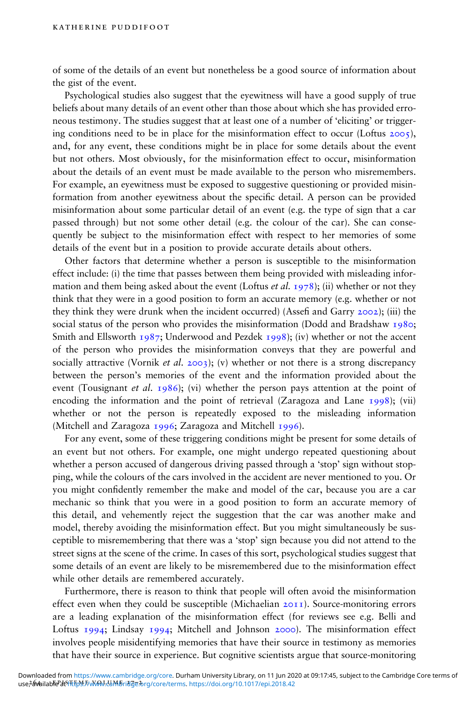of some of the details of an event but nonetheless be a good source of information about the gist of the event.

Psychological studies also suggest that the eyewitness will have a good supply of true beliefs about many details of an event other than those about which she has provided erroneous testimony. The studies suggest that at least one of a number of 'eliciting' or triggering conditions need to be in place for the misinformation effect to occur (Loftus  $2005$ ), and, for any event, these conditions might be in place for some details about the event but not others. Most obviously, for the misinformation effect to occur, misinformation about the details of an event must be made available to the person who misremembers. For example, an eyewitness must be exposed to suggestive questioning or provided misinformation from another eyewitness about the specific detail. A person can be provided misinformation about some particular detail of an event (e.g. the type of sign that a car passed through) but not some other detail (e.g. the colour of the car). She can consequently be subject to the misinformation effect with respect to her memories of some details of the event but in a position to provide accurate details about others.

Other factors that determine whether a person is susceptible to the misinformation effect include: (i) the time that passes between them being provided with misleading information and them being asked about the event (Loftus *et al.* 1978); (ii) whether or not they think that they were in a good position to form an accurate memory (e.g. whether or not they think they were drunk when the incident occurred) (Assefi and Garry  $2002$ ); (iii) the social status of the person who provides the misinformation (Dodd and Bradshaw 1980; Smith and Ellsworth 1987; Underwood and Pezdek 1998); (iv) whether or not the accent of the person who provides the misinformation conveys that they are powerful and socially attractive (Vornik *et al.* 2003); (v) whether or not there is a strong discrepancy between the person's memories of the event and the information provided about the event (Tousignant *et al.* 1986); (vi) whether the person pays attention at the point of encoding the information and the point of retrieval (Zaragoza and Lane 1998); (vii) whether or not the person is repeatedly exposed to the misleading information (Mitchell and Zaragoza 1996; Zaragoza and Mitchell 1996).

For any event, some of these triggering conditions might be present for some details of an event but not others. For example, one might undergo repeated questioning about whether a person accused of dangerous driving passed through a 'stop' sign without stopping, while the colours of the cars involved in the accident are never mentioned to you. Or you might confidently remember the make and model of the car, because you are a car mechanic so think that you were in a good position to form an accurate memory of this detail, and vehemently reject the suggestion that the car was another make and model, thereby avoiding the misinformation effect. But you might simultaneously be susceptible to misremembering that there was a 'stop' sign because you did not attend to the street signs at the scene of the crime. In cases of this sort, psychological studies suggest that some details of an event are likely to be misremembered due to the misinformation effect while other details are remembered accurately.

Furthermore, there is reason to think that people will often avoid the misinformation effect even when they could be susceptible (Michaelian 2011). Source-monitoring errors are a leading explanation of the misinformation effect (for reviews see e.g. Belli and Loftus 1994; Lindsay 1994; Mitchell and Johnson 2000). The misinformation effect involves people misidentifying memories that have their source in testimony as memories that have their source in experience. But cognitive scientists argue that source-monitoring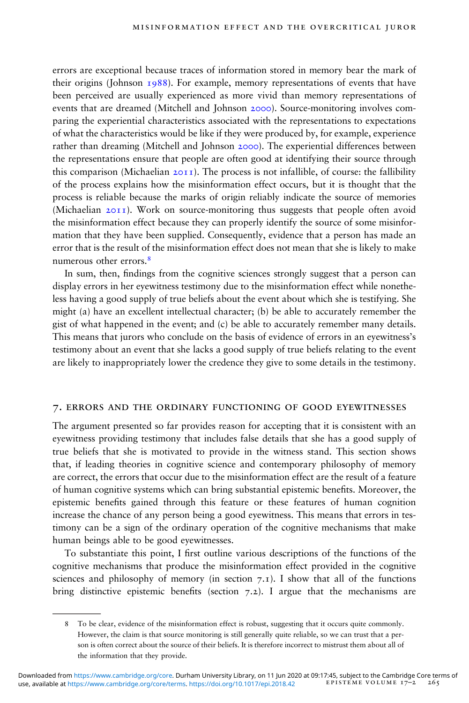errors are exceptional because traces of information stored in memory bear the mark of their origins (Johnson  $1988$ ). For example, memory representations of events that have been perceived are usually experienced as more vivid than memory representations of events that are dreamed (Mitchell and Johnson 2000). Source-monitoring involves comparing the experiential characteristics associated with the representations to expectations of what the characteristics would be like if they were produced by, for example, experience rather than dreaming (Mitchell and Johnson 2000). The experiential differences between the representations ensure that people are often good at identifying their source through this comparison (Michaelian  $20I1$ ). The process is not infallible, of course: the fallibility of the process explains how the misinformation effect occurs, but it is thought that the process is reliable because the marks of origin reliably indicate the source of memories (Michaelian 2011). Work on source-monitoring thus suggests that people often avoid the misinformation effect because they can properly identify the source of some misinformation that they have been supplied. Consequently, evidence that a person has made an error that is the result of the misinformation effect does not mean that she is likely to make numerous other errors 8

In sum, then, findings from the cognitive sciences strongly suggest that a person can display errors in her eyewitness testimony due to the misinformation effect while nonetheless having a good supply of true beliefs about the event about which she is testifying. She might (a) have an excellent intellectual character; (b) be able to accurately remember the gist of what happened in the event; and (c) be able to accurately remember many details. This means that jurors who conclude on the basis of evidence of errors in an eyewitness's testimony about an event that she lacks a good supply of true beliefs relating to the event are likely to inappropriately lower the credence they give to some details in the testimony.

### 7. errors and the ordinary functioning of good eyewitnesses

The argument presented so far provides reason for accepting that it is consistent with an eyewitness providing testimony that includes false details that she has a good supply of true beliefs that she is motivated to provide in the witness stand. This section shows that, if leading theories in cognitive science and contemporary philosophy of memory are correct, the errors that occur due to the misinformation effect are the result of a feature of human cognitive systems which can bring substantial epistemic benets. Moreover, the epistemic benets gained through this feature or these features of human cognition increase the chance of any person being a good eyewitness. This means that errors in testimony can be a sign of the ordinary operation of the cognitive mechanisms that make human beings able to be good eyewitnesses.

To substantiate this point, I first outline various descriptions of the functions of the cognitive mechanisms that produce the misinformation effect provided in the cognitive sciences and philosophy of memory (in section  $7 \text{·r}$ ). I show that all of the functions bring distinctive epistemic benefits (section  $7.2$ ). I argue that the mechanisms are

<sup>8</sup> To be clear, evidence of the misinformation effect is robust, suggesting that it occurs quite commonly. However, the claim is that source monitoring is still generally quite reliable, so we can trust that a person is often correct about the source of their beliefs. It is therefore incorrect to mistrust them about all of the information that they provide.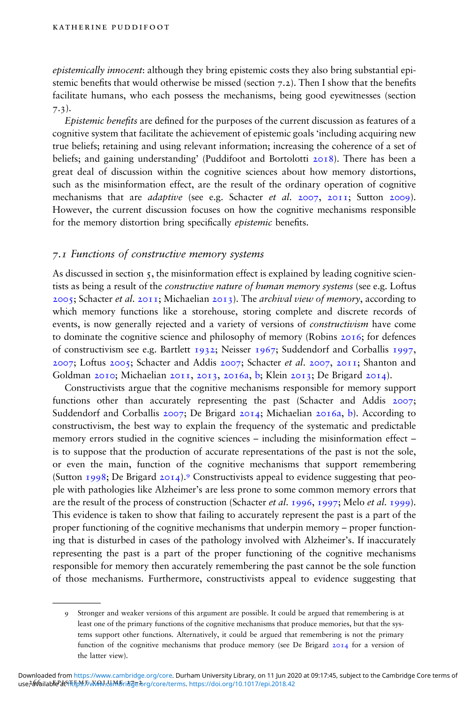epistemically innocent: although they bring epistemic costs they also bring substantial epistemic benefits that would otherwise be missed (section  $7.2$ ). Then I show that the benefits facilitate humans, who each possess the mechanisms, being good eyewitnesses (section 7.3).

Epistemic benefits are defined for the purposes of the current discussion as features of a cognitive system that facilitate the achievement of epistemic goals 'including acquiring new true beliefs; retaining and using relevant information; increasing the coherence of a set of beliefs; and gaining understanding' (Puddifoot and Bortolotti 2018). There has been a great deal of discussion within the cognitive sciences about how memory distortions, such as the misinformation effect, are the result of the ordinary operation of cognitive mechanisms that are *adaptive* (see e.g. Schacter et al. 2007, 2011; Sutton 2009). However, the current discussion focuses on how the cognitive mechanisms responsible for the memory distortion bring specifically *epistemic* benefits.

### 7.1 Functions of constructive memory systems

As discussed in section  $\zeta$ , the misinformation effect is explained by leading cognitive scientists as being a result of the *constructive nature of human memory systems* (see e.g. Loftus  $2005$ ; Schacter *et al.*  $2011$ ; Michaelian  $2013$ ). The *archival view of memory*, according to which memory functions like a storehouse, storing complete and discrete records of events, is now generally rejected and a variety of versions of constructivism have come to dominate the cognitive science and philosophy of memory (Robins 2016; for defences of constructivism see e.g. Bartlett 1932; Neisser 1967; Suddendorf and Corballis 1997, 2007; Loftus 2005; Schacter and Addis 2007; Schacter et al. 2007, 2011; Shanton and Goldman 2010; Michaelian 2011, 2013, 2016a, b; Klein 2013; De Brigard 2014).

Constructivists argue that the cognitive mechanisms responsible for memory support functions other than accurately representing the past (Schacter and Addis 2007; Suddendorf and Corballis 2007; De Brigard 2014; Michaelian 2016a, b). According to constructivism, the best way to explain the frequency of the systematic and predictable memory errors studied in the cognitive sciences – including the misinformation effect – is to suppose that the production of accurate representations of the past is not the sole, or even the main, function of the cognitive mechanisms that support remembering (Sutton 1998; De Brigard 2014).<sup>9</sup> Constructivists appeal to evidence suggesting that people with pathologies like Alzheimer's are less prone to some common memory errors that are the result of the process of construction (Schacter *et al.* 1996, 1997; Melo *et al.* 1999). This evidence is taken to show that failing to accurately represent the past is a part of the proper functioning of the cognitive mechanisms that underpin memory – proper functioning that is disturbed in cases of the pathology involved with Alzheimer's. If inaccurately representing the past is a part of the proper functioning of the cognitive mechanisms responsible for memory then accurately remembering the past cannot be the sole function of those mechanisms. Furthermore, constructivists appeal to evidence suggesting that

<sup>9</sup> Stronger and weaker versions of this argument are possible. It could be argued that remembering is at least one of the primary functions of the cognitive mechanisms that produce memories, but that the systems support other functions. Alternatively, it could be argued that remembering is not the primary function of the cognitive mechanisms that produce memory (see De Brigard 2014 for a version of the latter view).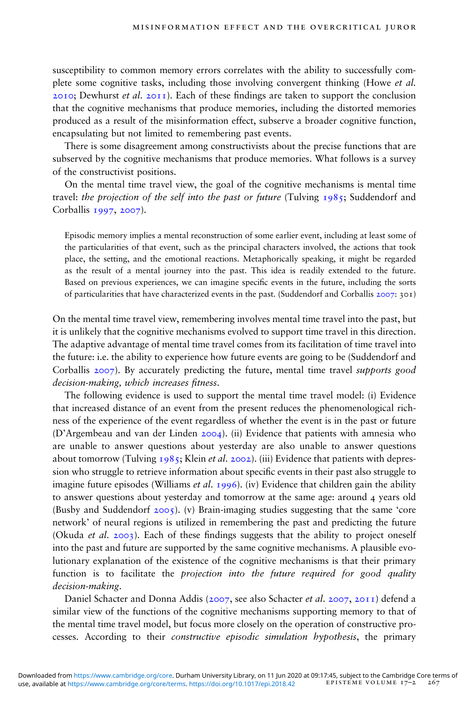susceptibility to common memory errors correlates with the ability to successfully complete some cognitive tasks, including those involving convergent thinking (Howe et al. 2010; Dewhurst *et al.* 2011). Each of these findings are taken to support the conclusion that the cognitive mechanisms that produce memories, including the distorted memories produced as a result of the misinformation effect, subserve a broader cognitive function, encapsulating but not limited to remembering past events.

There is some disagreement among constructivists about the precise functions that are subserved by the cognitive mechanisms that produce memories. What follows is a survey of the constructivist positions.

On the mental time travel view, the goal of the cognitive mechanisms is mental time travel: the projection of the self into the past or future (Tulving  $1985$ ; Suddendorf and Corballis 1997, 2007).

Episodic memory implies a mental reconstruction of some earlier event, including at least some of the particularities of that event, such as the principal characters involved, the actions that took place, the setting, and the emotional reactions. Metaphorically speaking, it might be regarded as the result of a mental journey into the past. This idea is readily extended to the future. Based on previous experiences, we can imagine specific events in the future, including the sorts of particularities that have characterized events in the past. (Suddendorf and Corballis 2007: 301)

On the mental time travel view, remembering involves mental time travel into the past, but it is unlikely that the cognitive mechanisms evolved to support time travel in this direction. The adaptive advantage of mental time travel comes from its facilitation of time travel into the future: i.e. the ability to experience how future events are going to be (Suddendorf and Corballis 2007). By accurately predicting the future, mental time travel supports good decision-making, which increases fitness.

The following evidence is used to support the mental time travel model: (i) Evidence that increased distance of an event from the present reduces the phenomenological richness of the experience of the event regardless of whether the event is in the past or future (D'Argembeau and van der Linden 2004). (ii) Evidence that patients with amnesia who are unable to answer questions about yesterday are also unable to answer questions about tomorrow (Tulving  $1985$ ; Klein *et al.* 2002). (iii) Evidence that patients with depression who struggle to retrieve information about specific events in their past also struggle to imagine future episodes (Williams *et al.* 1996). (iv) Evidence that children gain the ability to answer questions about yesterday and tomorrow at the same age: around 4 years old (Busby and Suddendorf 2005). (v) Brain-imaging studies suggesting that the same 'core network' of neural regions is utilized in remembering the past and predicting the future (Okuda *et al.* 2003). Each of these findings suggests that the ability to project oneself into the past and future are supported by the same cognitive mechanisms. A plausible evolutionary explanation of the existence of the cognitive mechanisms is that their primary function is to facilitate the projection into the future required for good quality decision-making.

Daniel Schacter and Donna Addis (2007, see also Schacter et al. 2007, 2011) defend a similar view of the functions of the cognitive mechanisms supporting memory to that of the mental time travel model, but focus more closely on the operation of constructive processes. According to their constructive episodic simulation hypothesis, the primary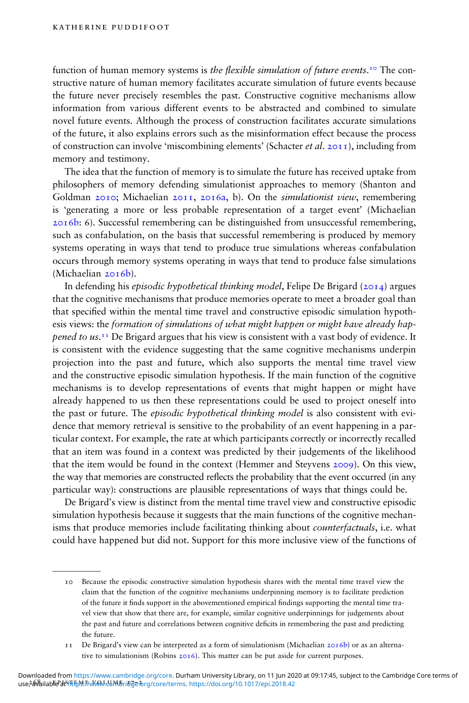function of human memory systems is *the flexible simulation of future events*.<sup>10</sup> The constructive nature of human memory facilitates accurate simulation of future events because the future never precisely resembles the past. Constructive cognitive mechanisms allow information from various different events to be abstracted and combined to simulate novel future events. Although the process of construction facilitates accurate simulations of the future, it also explains errors such as the misinformation effect because the process of construction can involve 'miscombining elements' (Schacter *et al.* 2011), including from memory and testimony.

The idea that the function of memory is to simulate the future has received uptake from philosophers of memory defending simulationist approaches to memory (Shanton and Goldman 2010; Michaelian 2011, 2016a, b). On the simulationist view, remembering is 'generating a more or less probable representation of a target event' (Michaelian 2016b: 6). Successful remembering can be distinguished from unsuccessful remembering, such as confabulation, on the basis that successful remembering is produced by memory systems operating in ways that tend to produce true simulations whereas confabulation occurs through memory systems operating in ways that tend to produce false simulations (Michaelian 2016b).

In defending his *episodic hypothetical thinking model*, Felipe De Brigard (2014) argues that the cognitive mechanisms that produce memories operate to meet a broader goal than that specified within the mental time travel and constructive episodic simulation hypothesis views: the formation of simulations of what might happen or might have already happened to us.<sup>11</sup> De Brigard argues that his view is consistent with a vast body of evidence. It is consistent with the evidence suggesting that the same cognitive mechanisms underpin projection into the past and future, which also supports the mental time travel view and the constructive episodic simulation hypothesis. If the main function of the cognitive mechanisms is to develop representations of events that might happen or might have already happened to us then these representations could be used to project oneself into the past or future. The *episodic hypothetical thinking model* is also consistent with evidence that memory retrieval is sensitive to the probability of an event happening in a particular context. For example, the rate at which participants correctly or incorrectly recalled that an item was found in a context was predicted by their judgements of the likelihood that the item would be found in the context (Hemmer and Steyvens 2009). On this view, the way that memories are constructed reflects the probability that the event occurred (in any particular way): constructions are plausible representations of ways that things could be.

De Brigard's view is distinct from the mental time travel view and constructive episodic simulation hypothesis because it suggests that the main functions of the cognitive mechanisms that produce memories include facilitating thinking about counterfactuals, i.e. what could have happened but did not. Support for this more inclusive view of the functions of

<sup>10</sup> Because the episodic constructive simulation hypothesis shares with the mental time travel view the claim that the function of the cognitive mechanisms underpinning memory is to facilitate prediction of the future it finds support in the abovementioned empirical findings supporting the mental time travel view that show that there are, for example, similar cognitive underpinnings for judgements about the past and future and correlations between cognitive deficits in remembering the past and predicting the future.

<sup>11</sup> De Brigard's view can be interpreted as a form of simulationism (Michaelian 2016b) or as an alternative to simulationism (Robins 2016). This matter can be put aside for current purposes.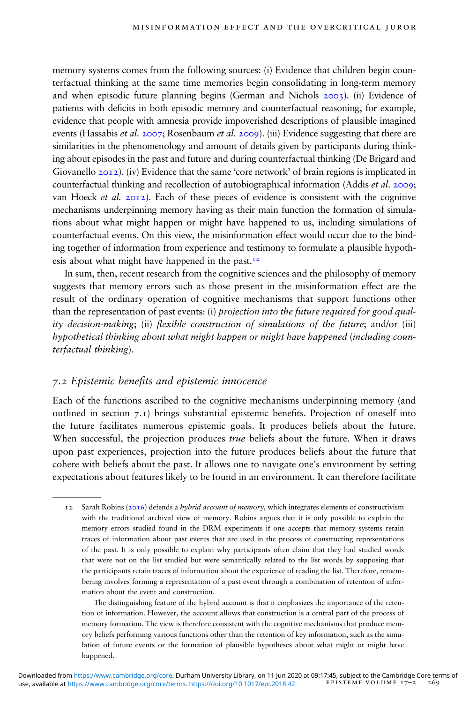memory systems comes from the following sources: (i) Evidence that children begin counterfactual thinking at the same time memories begin consolidating in long-term memory and when episodic future planning begins (German and Nichols 2003). (ii) Evidence of patients with deficits in both episodic memory and counterfactual reasoning, for example, evidence that people with amnesia provide impoverished descriptions of plausible imagined events (Hassabis et al. 2007; Rosenbaum et al. 2009). (iii) Evidence suggesting that there are similarities in the phenomenology and amount of details given by participants during thinking about episodes in the past and future and during counterfactual thinking (De Brigard and Giovanello 2012). (iv) Evidence that the same 'core network' of brain regions is implicated in counterfactual thinking and recollection of autobiographical information (Addis *et al.* 2009; van Hoeck *et al.*  $20I2$ ). Each of these pieces of evidence is consistent with the cognitive mechanisms underpinning memory having as their main function the formation of simulations about what might happen or might have happened to us, including simulations of counterfactual events. On this view, the misinformation effect would occur due to the binding together of information from experience and testimony to formulate a plausible hypothesis about what might have happened in the past. $12$ 

In sum, then, recent research from the cognitive sciences and the philosophy of memory suggests that memory errors such as those present in the misinformation effect are the result of the ordinary operation of cognitive mechanisms that support functions other than the representation of past events: (i) *projection into the future required for good qual*ity decision-making; (ii) flexible construction of simulations of the future; and/or (iii) hypothetical thinking about what might happen or might have happened (including counterfactual thinking).

#### 7.2 Epistemic benets and epistemic innocence

Each of the functions ascribed to the cognitive mechanisms underpinning memory (and outlined in section  $7.1$ ) brings substantial epistemic benefits. Projection of oneself into the future facilitates numerous epistemic goals. It produces beliefs about the future. When successful, the projection produces *true* beliefs about the future. When it draws upon past experiences, projection into the future produces beliefs about the future that cohere with beliefs about the past. It allows one to navigate one's environment by setting expectations about features likely to be found in an environment. It can therefore facilitate

The distinguishing feature of the hybrid account is that it emphasizes the importance of the retention of information. However, the account allows that construction is a central part of the process of memory formation. The view is therefore consistent with the cognitive mechanisms that produce memory beliefs performing various functions other than the retention of key information, such as the simulation of future events or the formation of plausible hypotheses about what might or might have happened.

<sup>12</sup> Sarah Robins ( $2016$ ) defends a *hybrid account of memory*, which integrates elements of constructivism with the traditional archival view of memory. Robins argues that it is only possible to explain the memory errors studied found in the DRM experiments if one accepts that memory systems retain traces of information about past events that are used in the process of constructing representations of the past. It is only possible to explain why participants often claim that they had studied words that were not on the list studied but were semantically related to the list words by supposing that the participants retain traces of information about the experience of reading the list. Therefore, remembering involves forming a representation of a past event through a combination of retention of information about the event and construction.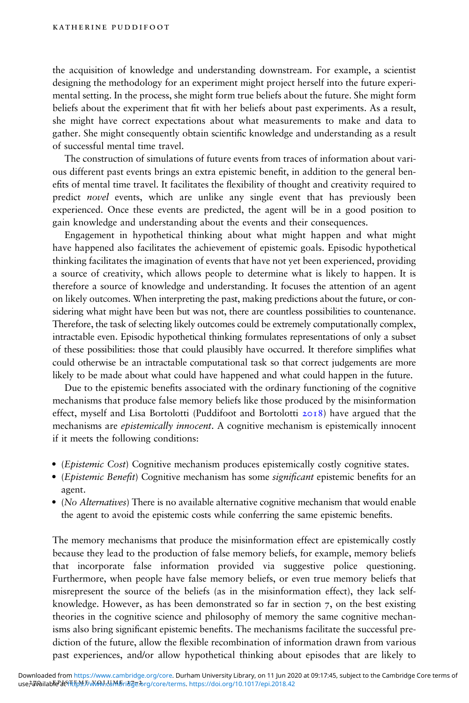the acquisition of knowledge and understanding downstream. For example, a scientist designing the methodology for an experiment might project herself into the future experimental setting. In the process, she might form true beliefs about the future. She might form beliefs about the experiment that fit with her beliefs about past experiments. As a result, she might have correct expectations about what measurements to make and data to gather. She might consequently obtain scientific knowledge and understanding as a result of successful mental time travel.

The construction of simulations of future events from traces of information about various different past events brings an extra epistemic benet, in addition to the general benefits of mental time travel. It facilitates the flexibility of thought and creativity required to predict novel events, which are unlike any single event that has previously been experienced. Once these events are predicted, the agent will be in a good position to gain knowledge and understanding about the events and their consequences.

Engagement in hypothetical thinking about what might happen and what might have happened also facilitates the achievement of epistemic goals. Episodic hypothetical thinking facilitates the imagination of events that have not yet been experienced, providing a source of creativity, which allows people to determine what is likely to happen. It is therefore a source of knowledge and understanding. It focuses the attention of an agent on likely outcomes. When interpreting the past, making predictions about the future, or considering what might have been but was not, there are countless possibilities to countenance. Therefore, the task of selecting likely outcomes could be extremely computationally complex, intractable even. Episodic hypothetical thinking formulates representations of only a subset of these possibilities: those that could plausibly have occurred. It therefore simplifies what could otherwise be an intractable computational task so that correct judgements are more likely to be made about what could have happened and what could happen in the future.

Due to the epistemic benefits associated with the ordinary functioning of the cognitive mechanisms that produce false memory beliefs like those produced by the misinformation effect, myself and Lisa Bortolotti (Puddifoot and Bortolotti 2018) have argued that the mechanisms are *epistemically innocent*. A cognitive mechanism is epistemically innocent if it meets the following conditions:

- (Epistemic Cost) Cognitive mechanism produces epistemically costly cognitive states.
- (Epistemic Benefit) Cognitive mechanism has some *significant* epistemic benefits for an agent.
- (No Alternatives) There is no available alternative cognitive mechanism that would enable the agent to avoid the epistemic costs while conferring the same epistemic benefits.

The memory mechanisms that produce the misinformation effect are epistemically costly because they lead to the production of false memory beliefs, for example, memory beliefs that incorporate false information provided via suggestive police questioning. Furthermore, when people have false memory beliefs, or even true memory beliefs that misrepresent the source of the beliefs (as in the misinformation effect), they lack selfknowledge. However, as has been demonstrated so far in section 7, on the best existing theories in the cognitive science and philosophy of memory the same cognitive mechanisms also bring significant epistemic benefits. The mechanisms facilitate the successful prediction of the future, allow the flexible recombination of information drawn from various past experiences, and/or allow hypothetical thinking about episodes that are likely to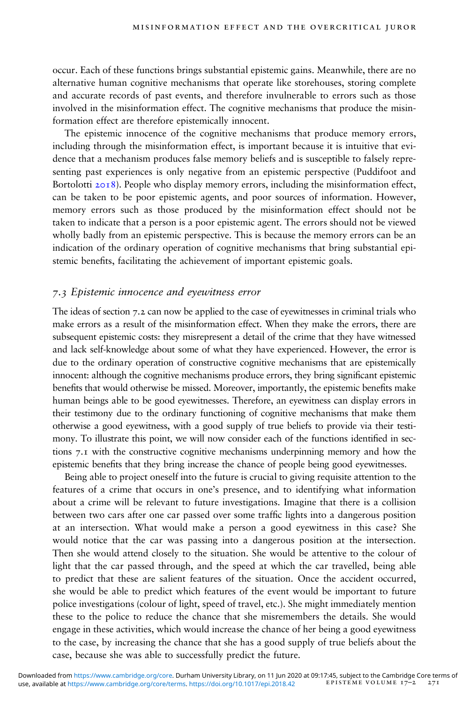occur. Each of these functions brings substantial epistemic gains. Meanwhile, there are no alternative human cognitive mechanisms that operate like storehouses, storing complete and accurate records of past events, and therefore invulnerable to errors such as those involved in the misinformation effect. The cognitive mechanisms that produce the misinformation effect are therefore epistemically innocent.

The epistemic innocence of the cognitive mechanisms that produce memory errors, including through the misinformation effect, is important because it is intuitive that evidence that a mechanism produces false memory beliefs and is susceptible to falsely representing past experiences is only negative from an epistemic perspective (Puddifoot and Bortolotti 2018). People who display memory errors, including the misinformation effect, can be taken to be poor epistemic agents, and poor sources of information. However, memory errors such as those produced by the misinformation effect should not be taken to indicate that a person is a poor epistemic agent. The errors should not be viewed wholly badly from an epistemic perspective. This is because the memory errors can be an indication of the ordinary operation of cognitive mechanisms that bring substantial epistemic benefits, facilitating the achievement of important epistemic goals.

### 7.3 Epistemic innocence and eyewitness error

The ideas of section 7.2 can now be applied to the case of eyewitnesses in criminal trials who make errors as a result of the misinformation effect. When they make the errors, there are subsequent epistemic costs: they misrepresent a detail of the crime that they have witnessed and lack self-knowledge about some of what they have experienced. However, the error is due to the ordinary operation of constructive cognitive mechanisms that are epistemically innocent: although the cognitive mechanisms produce errors, they bring significant epistemic benefits that would otherwise be missed. Moreover, importantly, the epistemic benefits make human beings able to be good eyewitnesses. Therefore, an eyewitness can display errors in their testimony due to the ordinary functioning of cognitive mechanisms that make them otherwise a good eyewitness, with a good supply of true beliefs to provide via their testimony. To illustrate this point, we will now consider each of the functions identified in sections 7.1 with the constructive cognitive mechanisms underpinning memory and how the epistemic benefits that they bring increase the chance of people being good eyewitnesses.

Being able to project oneself into the future is crucial to giving requisite attention to the features of a crime that occurs in one's presence, and to identifying what information about a crime will be relevant to future investigations. Imagine that there is a collision between two cars after one car passed over some traffic lights into a dangerous position at an intersection. What would make a person a good eyewitness in this case? She would notice that the car was passing into a dangerous position at the intersection. Then she would attend closely to the situation. She would be attentive to the colour of light that the car passed through, and the speed at which the car travelled, being able to predict that these are salient features of the situation. Once the accident occurred, she would be able to predict which features of the event would be important to future police investigations (colour of light, speed of travel, etc.). She might immediately mention these to the police to reduce the chance that she misremembers the details. She would engage in these activities, which would increase the chance of her being a good eyewitness to the case, by increasing the chance that she has a good supply of true beliefs about the case, because she was able to successfully predict the future.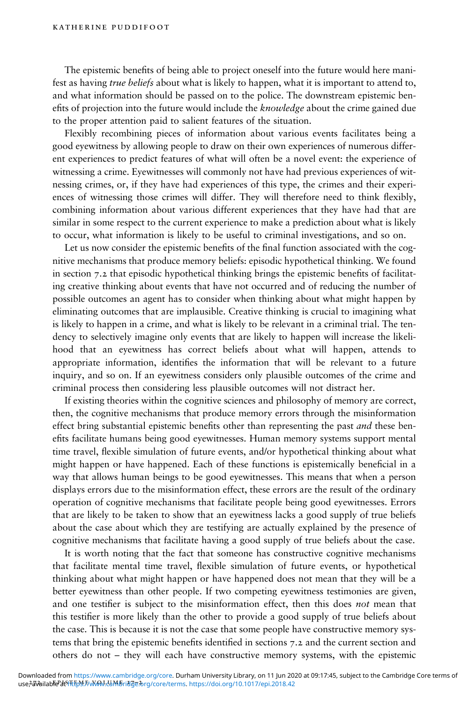The epistemic benefits of being able to project oneself into the future would here manifest as having true beliefs about what is likely to happen, what it is important to attend to, and what information should be passed on to the police. The downstream epistemic benefits of projection into the future would include the knowledge about the crime gained due to the proper attention paid to salient features of the situation.

Flexibly recombining pieces of information about various events facilitates being a good eyewitness by allowing people to draw on their own experiences of numerous different experiences to predict features of what will often be a novel event: the experience of witnessing a crime. Eyewitnesses will commonly not have had previous experiences of witnessing crimes, or, if they have had experiences of this type, the crimes and their experiences of witnessing those crimes will differ. They will therefore need to think flexibly, combining information about various different experiences that they have had that are similar in some respect to the current experience to make a prediction about what is likely to occur, what information is likely to be useful to criminal investigations, and so on.

Let us now consider the epistemic benefits of the final function associated with the cognitive mechanisms that produce memory beliefs: episodic hypothetical thinking. We found in section 7.2 that episodic hypothetical thinking brings the epistemic benefits of facilitating creative thinking about events that have not occurred and of reducing the number of possible outcomes an agent has to consider when thinking about what might happen by eliminating outcomes that are implausible. Creative thinking is crucial to imagining what is likely to happen in a crime, and what is likely to be relevant in a criminal trial. The tendency to selectively imagine only events that are likely to happen will increase the likelihood that an eyewitness has correct beliefs about what will happen, attends to appropriate information, identifies the information that will be relevant to a future inquiry, and so on. If an eyewitness considers only plausible outcomes of the crime and criminal process then considering less plausible outcomes will not distract her.

If existing theories within the cognitive sciences and philosophy of memory are correct, then, the cognitive mechanisms that produce memory errors through the misinformation effect bring substantial epistemic benefits other than representing the past *and* these benefits facilitate humans being good eyewitnesses. Human memory systems support mental time travel, flexible simulation of future events, and/or hypothetical thinking about what might happen or have happened. Each of these functions is epistemically beneficial in a way that allows human beings to be good eyewitnesses. This means that when a person displays errors due to the misinformation effect, these errors are the result of the ordinary operation of cognitive mechanisms that facilitate people being good eyewitnesses. Errors that are likely to be taken to show that an eyewitness lacks a good supply of true beliefs about the case about which they are testifying are actually explained by the presence of cognitive mechanisms that facilitate having a good supply of true beliefs about the case.

It is worth noting that the fact that someone has constructive cognitive mechanisms that facilitate mental time travel, flexible simulation of future events, or hypothetical thinking about what might happen or have happened does not mean that they will be a better eyewitness than other people. If two competing eyewitness testimonies are given, and one testifier is subject to the misinformation effect, then this does not mean that this testier is more likely than the other to provide a good supply of true beliefs about the case. This is because it is not the case that some people have constructive memory systems that bring the epistemic benefits identified in sections  $7.2$  and the current section and others do not – they will each have constructive memory systems, with the epistemic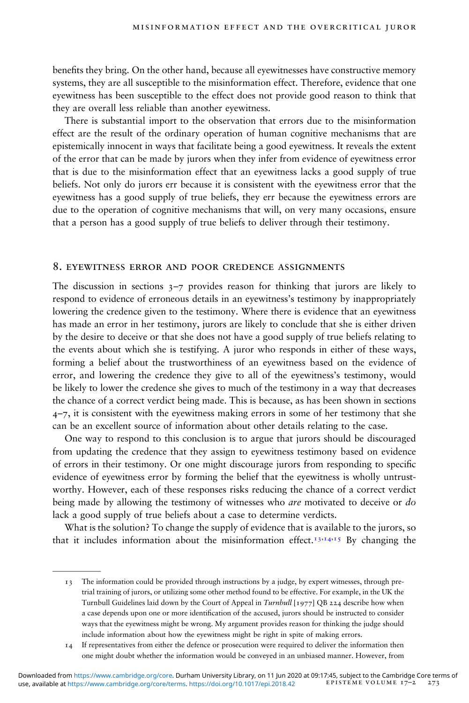benefits they bring. On the other hand, because all eyewitnesses have constructive memory systems, they are all susceptible to the misinformation effect. Therefore, evidence that one eyewitness has been susceptible to the effect does not provide good reason to think that they are overall less reliable than another eyewitness.

There is substantial import to the observation that errors due to the misinformation effect are the result of the ordinary operation of human cognitive mechanisms that are epistemically innocent in ways that facilitate being a good eyewitness. It reveals the extent of the error that can be made by jurors when they infer from evidence of eyewitness error that is due to the misinformation effect that an eyewitness lacks a good supply of true beliefs. Not only do jurors err because it is consistent with the eyewitness error that the eyewitness has a good supply of true beliefs, they err because the eyewitness errors are due to the operation of cognitive mechanisms that will, on very many occasions, ensure that a person has a good supply of true beliefs to deliver through their testimony.

#### 8. eyewitness error and poor credence assignments

The discussion in sections  $3-7$  provides reason for thinking that jurors are likely to respond to evidence of erroneous details in an eyewitness's testimony by inappropriately lowering the credence given to the testimony. Where there is evidence that an eyewitness has made an error in her testimony, jurors are likely to conclude that she is either driven by the desire to deceive or that she does not have a good supply of true beliefs relating to the events about which she is testifying. A juror who responds in either of these ways, forming a belief about the trustworthiness of an eyewitness based on the evidence of error, and lowering the credence they give to all of the eyewitness's testimony, would be likely to lower the credence she gives to much of the testimony in a way that decreases the chance of a correct verdict being made. This is because, as has been shown in sections  $4$ –7, it is consistent with the eyewitness making errors in some of her testimony that she can be an excellent source of information about other details relating to the case.

One way to respond to this conclusion is to argue that jurors should be discouraged from updating the credence that they assign to eyewitness testimony based on evidence of errors in their testimony. Or one might discourage jurors from responding to specic evidence of eyewitness error by forming the belief that the eyewitness is wholly untrustworthy. However, each of these responses risks reducing the chance of a correct verdict being made by allowing the testimony of witnesses who *are* motivated to deceive or *do* lack a good supply of true beliefs about a case to determine verdicts.

What is the solution? To change the supply of evidence that is available to the jurors, so that it includes information about the misinformation effect.<sup>13,14,15</sup> By changing the

<sup>13</sup> The information could be provided through instructions by a judge, by expert witnesses, through pretrial training of jurors, or utilizing some other method found to be effective. For example, in the UK the Turnbull Guidelines laid down by the Court of Appeal in Turnbull [1977] QB 224 describe how when a case depends upon one or more identification of the accused, jurors should be instructed to consider ways that the eyewitness might be wrong. My argument provides reason for thinking the judge should include information about how the eyewitness might be right in spite of making errors.

<sup>14</sup> If representatives from either the defence or prosecution were required to deliver the information then one might doubt whether the information would be conveyed in an unbiased manner. However, from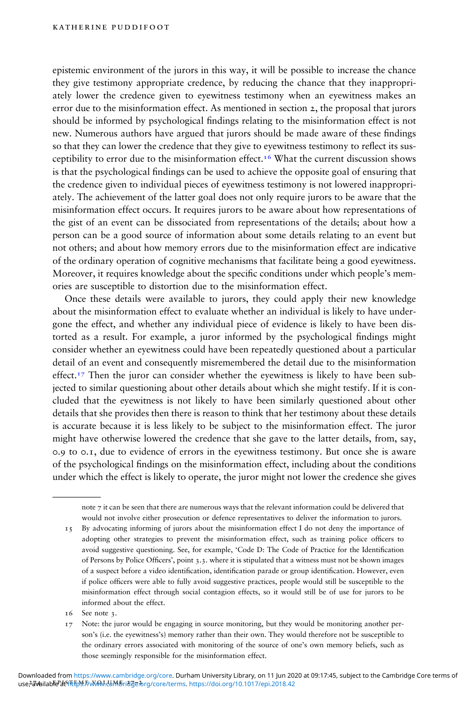epistemic environment of the jurors in this way, it will be possible to increase the chance they give testimony appropriate credence, by reducing the chance that they inappropriately lower the credence given to eyewitness testimony when an eyewitness makes an error due to the misinformation effect. As mentioned in section 2, the proposal that jurors should be informed by psychological findings relating to the misinformation effect is not new. Numerous authors have argued that jurors should be made aware of these findings so that they can lower the credence that they give to eyewitness testimony to reflect its susceptibility to error due to the misinformation effect.<sup>16</sup> What the current discussion shows is that the psychological findings can be used to achieve the opposite goal of ensuring that the credence given to individual pieces of eyewitness testimony is not lowered inappropriately. The achievement of the latter goal does not only require jurors to be aware that the misinformation effect occurs. It requires jurors to be aware about how representations of the gist of an event can be dissociated from representations of the details; about how a person can be a good source of information about some details relating to an event but not others; and about how memory errors due to the misinformation effect are indicative of the ordinary operation of cognitive mechanisms that facilitate being a good eyewitness. Moreover, it requires knowledge about the specific conditions under which people's memories are susceptible to distortion due to the misinformation effect.

Once these details were available to jurors, they could apply their new knowledge about the misinformation effect to evaluate whether an individual is likely to have undergone the effect, and whether any individual piece of evidence is likely to have been distorted as a result. For example, a juror informed by the psychological findings might consider whether an eyewitness could have been repeatedly questioned about a particular detail of an event and consequently misremembered the detail due to the misinformation effect.<sup>17</sup> Then the juror can consider whether the eyewitness is likely to have been subjected to similar questioning about other details about which she might testify. If it is concluded that the eyewitness is not likely to have been similarly questioned about other details that she provides then there is reason to think that her testimony about these details is accurate because it is less likely to be subject to the misinformation effect. The juror might have otherwise lowered the credence that she gave to the latter details, from, say, 0.9 to 0.1, due to evidence of errors in the eyewitness testimony. But once she is aware of the psychological findings on the misinformation effect, including about the conditions under which the effect is likely to operate, the juror might not lower the credence she gives

note 7 it can be seen that there are numerous ways that the relevant information could be delivered that would not involve either prosecution or defence representatives to deliver the information to jurors.

- 15 By advocating informing of jurors about the misinformation effect I do not deny the importance of adopting other strategies to prevent the misinformation effect, such as training police officers to avoid suggestive questioning. See, for example, 'Code D: The Code of Practice for the Identification of Persons by Police Officers', point 3.3. where it is stipulated that a witness must not be shown images of a suspect before a video identification, identification parade or group identification. However, even if police officers were able to fully avoid suggestive practices, people would still be susceptible to the misinformation effect through social contagion effects, so it would still be of use for jurors to be informed about the effect.
- 16 See note 3.

<sup>17</sup> Note: the juror would be engaging in source monitoring, but they would be monitoring another person's (i.e. the eyewitness's) memory rather than their own. They would therefore not be susceptible to the ordinary errors associated with monitoring of the source of one's own memory beliefs, such as those seemingly responsible for the misinformation effect.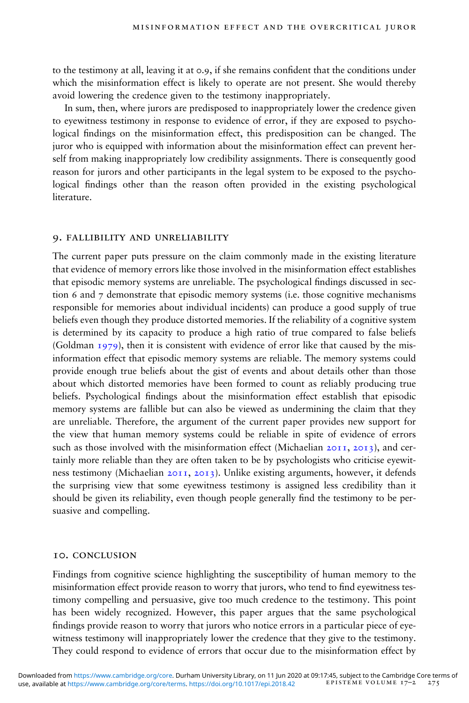to the testimony at all, leaving it at 0.9, if she remains confident that the conditions under which the misinformation effect is likely to operate are not present. She would thereby avoid lowering the credence given to the testimony inappropriately.

In sum, then, where jurors are predisposed to inappropriately lower the credence given to eyewitness testimony in response to evidence of error, if they are exposed to psychological findings on the misinformation effect, this predisposition can be changed. The juror who is equipped with information about the misinformation effect can prevent herself from making inappropriately low credibility assignments. There is consequently good reason for jurors and other participants in the legal system to be exposed to the psychological findings other than the reason often provided in the existing psychological literature.

### 9. fallibility and unreliability

The current paper puts pressure on the claim commonly made in the existing literature that evidence of memory errors like those involved in the misinformation effect establishes that episodic memory systems are unreliable. The psychological findings discussed in section 6 and 7 demonstrate that episodic memory systems (i.e. those cognitive mechanisms responsible for memories about individual incidents) can produce a good supply of true beliefs even though they produce distorted memories. If the reliability of a cognitive system is determined by its capacity to produce a high ratio of true compared to false beliefs (Goldman 1979), then it is consistent with evidence of error like that caused by the misinformation effect that episodic memory systems are reliable. The memory systems could provide enough true beliefs about the gist of events and about details other than those about which distorted memories have been formed to count as reliably producing true beliefs. Psychological findings about the misinformation effect establish that episodic memory systems are fallible but can also be viewed as undermining the claim that they are unreliable. Therefore, the argument of the current paper provides new support for the view that human memory systems could be reliable in spite of evidence of errors such as those involved with the misinformation effect (Michaelian 2011, 2013), and certainly more reliable than they are often taken to be by psychologists who criticise eyewitness testimony (Michaelian 2011, 2013). Unlike existing arguments, however, it defends the surprising view that some eyewitness testimony is assigned less credibility than it should be given its reliability, even though people generally find the testimony to be persuasive and compelling.

#### 10. conclusion

Findings from cognitive science highlighting the susceptibility of human memory to the misinformation effect provide reason to worry that jurors, who tend to find evewitness testimony compelling and persuasive, give too much credence to the testimony. This point has been widely recognized. However, this paper argues that the same psychological findings provide reason to worry that jurors who notice errors in a particular piece of eyewitness testimony will inappropriately lower the credence that they give to the testimony. They could respond to evidence of errors that occur due to the misinformation effect by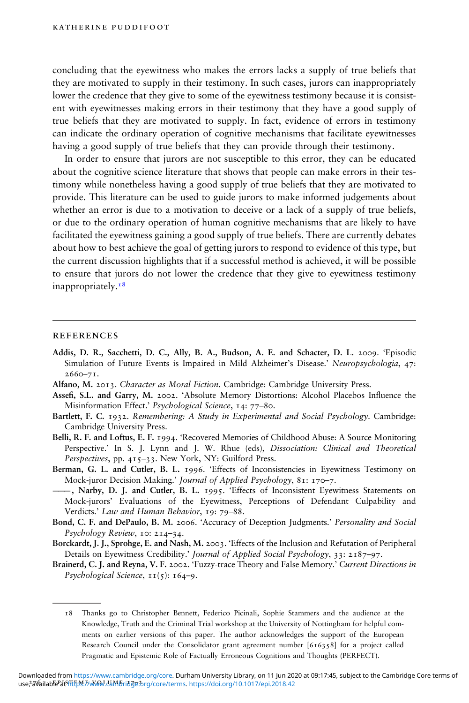concluding that the eyewitness who makes the errors lacks a supply of true beliefs that they are motivated to supply in their testimony. In such cases, jurors can inappropriately lower the credence that they give to some of the eyewitness testimony because it is consistent with eyewitnesses making errors in their testimony that they have a good supply of true beliefs that they are motivated to supply. In fact, evidence of errors in testimony can indicate the ordinary operation of cognitive mechanisms that facilitate eyewitnesses having a good supply of true beliefs that they can provide through their testimony.

In order to ensure that jurors are not susceptible to this error, they can be educated about the cognitive science literature that shows that people can make errors in their testimony while nonetheless having a good supply of true beliefs that they are motivated to provide. This literature can be used to guide jurors to make informed judgements about whether an error is due to a motivation to deceive or a lack of a supply of true beliefs, or due to the ordinary operation of human cognitive mechanisms that are likely to have facilitated the eyewitness gaining a good supply of true beliefs. There are currently debates about how to best achieve the goal of getting jurors to respond to evidence of this type, but the current discussion highlights that if a successful method is achieved, it will be possible to ensure that jurors do not lower the credence that they give to eyewitness testimony inappropriately.<sup>18</sup>

#### **REFERENCES**

- Addis, D. R., Sacchetti, D. C., Ally, B. A., Budson, A. E. and Schacter, D. L. 2009. 'Episodic Simulation of Future Events is Impaired in Mild Alzheimer's Disease.' Neuropsychologia, 47: 2660–71.
- Alfano, M. 2013. Character as Moral Fiction. Cambridge: Cambridge University Press.
- Assefi, S.L. and Garry, M. 2002. 'Absolute Memory Distortions: Alcohol Placebos Influence the Misinformation Effect.' Psychological Science, 14: 77–80.
- Bartlett, F. C. 1932. Remembering: A Study in Experimental and Social Psychology. Cambridge: Cambridge University Press.
- Belli, R. F. and Loftus, E. F. 1994. 'Recovered Memories of Childhood Abuse: A Source Monitoring Perspective.' In S. J. Lynn and J. W. Rhue (eds), Dissociation: Clinical and Theoretical Perspectives, pp. 415–33. New York, NY: Guilford Press.
- Berman, G. L. and Cutler, B. L. 1996. 'Effects of Inconsistencies in Eyewitness Testimony on Mock-juror Decision Making.' Journal of Applied Psychology, 81: 170–7.
- ———, Narby, D. J. and Cutler, B. L. 1995. 'Effects of Inconsistent Eyewitness Statements on Mock-jurors' Evaluations of the Eyewitness, Perceptions of Defendant Culpability and Verdicts.' Law and Human Behavior, 19: 79–88.
- Bond, C. F. and DePaulo, B. M. 2006. 'Accuracy of Deception Judgments.' Personality and Social Psychology Review, 10: 214–34.
- Borckardt, J. J., Sprohge, E. and Nash, M. 2003. 'Effects of the Inclusion and Refutation of Peripheral Details on Eyewitness Credibility.' Journal of Applied Social Psychology, 33: 2187–97.
- Brainerd, C. J. and Reyna, V. F. 2002. 'Fuzzy-trace Theory and False Memory.' Current Directions in Psychological Science,  $11(5)$ : 164-9.

<sup>18</sup> Thanks go to Christopher Bennett, Federico Picinali, Sophie Stammers and the audience at the Knowledge, Truth and the Criminal Trial workshop at the University of Nottingham for helpful comments on earlier versions of this paper. The author acknowledges the support of the European Research Council under the Consolidator grant agreement number [616358] for a project called Pragmatic and Epistemic Role of Factually Erroneous Cognitions and Thoughts (PERFECT).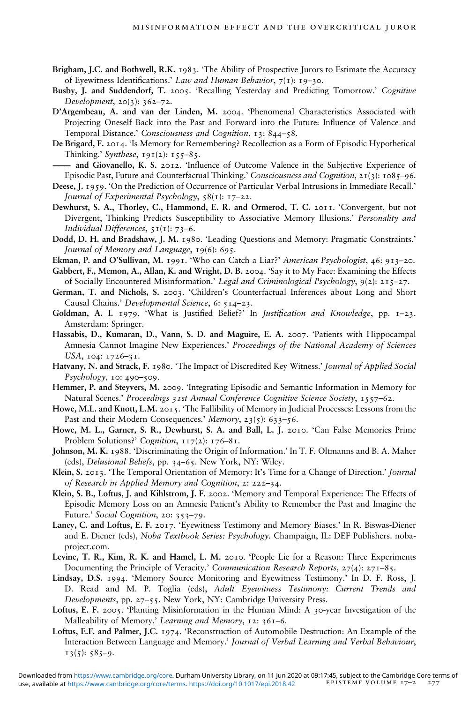- Brigham, J.C. and Bothwell, R.K. 1983. 'The Ability of Prospective Jurors to Estimate the Accuracy of Eyewitness Identifications.' Law and Human Behavior,  $7(1)$ : 19-30.
- Busby, J. and Suddendorf, T. 2005. 'Recalling Yesterday and Predicting Tomorrow.' Cognitive Development, 20(3): 362–72.
- D'Argembeau, A. and van der Linden, M. 2004. 'Phenomenal Characteristics Associated with Projecting Oneself Back into the Past and Forward into the Future: Influence of Valence and Temporal Distance.' Consciousness and Cognition, 13: 844–58.
- De Brigard, F. 2014. 'Is Memory for Remembering? Recollection as a Form of Episodic Hypothetical Thinking.' Synthese,  $191(2)$ :  $155-85$ .
- and Giovanello, K. S. 2012. 'Influence of Outcome Valence in the Subjective Experience of Episodic Past, Future and Counterfactual Thinking.' Consciousness and Cognition, 21(3): 1085–96.
- Deese, J. 1959. 'On the Prediction of Occurrence of Particular Verbal Intrusions in Immediate Recall.' Journal of Experimental Psychology,  $58(i)$ : 17–22.
- Dewhurst, S. A., Thorley, C., Hammond, E. R. and Ormerod, T. C. 2011. 'Convergent, but not Divergent, Thinking Predicts Susceptibility to Associative Memory Illusions.' Personality and Individual Differences,  $51(1)$ : 73–6.
- Dodd, D. H. and Bradshaw, J. M. 1980. 'Leading Questions and Memory: Pragmatic Constraints.' Journal of Memory and Language, 19(6): 695.
- Ekman, P. and O'Sullivan, M. 1991. 'Who can Catch a Liar?' American Psychologist, 46: 913–20.
- Gabbert, F., Memon, A., Allan, K. and Wright, D. B. 2004. 'Say it to My Face: Examining the Effects of Socially Encountered Misinformation.' Legal and Criminological Psychology, 9(2): 215–27.
- German, T. and Nichols, S. 2003. 'Children's Counterfactual Inferences about Long and Short Causal Chains.' Developmental Science, 6: 514–23.
- Goldman, A. I. 1979. 'What is Justified Belief?' In *Justification and Knowledge*, pp.  $I-23$ . Amsterdam: Springer.
- Hassabis, D., Kumaran, D., Vann, S. D. and Maguire, E. A. 2007. 'Patients with Hippocampal Amnesia Cannot Imagine New Experiences.' Proceedings of the National Academy of Sciences USA, 104: 1726–31.
- Hatvany, N. and Strack, F. 1980. 'The Impact of Discredited Key Witness.' Journal of Applied Social Psychology, 10: 490–509.
- Hemmer, P. and Steyvers, M. 2009. 'Integrating Episodic and Semantic Information in Memory for Natural Scenes.' Proceedings 31st Annual Conference Cognitive Science Society, 1557–62.
- Howe, M.L. and Knott, L.M. 2015. 'The Fallibility of Memory in Judicial Processes: Lessons from the Past and their Modern Consequences.' Memory, 23(5): 633-56.
- Howe, M. L., Garner, S. R., Dewhurst, S. A. and Ball, L. J. 2010. 'Can False Memories Prime Problem Solutions?' Cognition, 117(2): 176–81.
- Johnson, M. K. 1988. 'Discriminating the Origin of Information.' In T. F. Oltmanns and B. A. Maher (eds), Delusional Beliefs, pp. 34–65. New York, NY: Wiley.
- Klein, S. 2013. 'The Temporal Orientation of Memory: It's Time for a Change of Direction.' Journal of Research in Applied Memory and Cognition, 2: 222–34.
- Klein, S. B., Loftus, J. and Kihlstrom, J. F. 2002. 'Memory and Temporal Experience: The Effects of Episodic Memory Loss on an Amnesic Patient's Ability to Remember the Past and Imagine the Future.' Social Cognition, 20: 353–79.
- Laney, C. and Loftus, E. F. 2017. 'Eyewitness Testimony and Memory Biases.' In R. Biswas-Diener and E. Diener (eds), Noba Textbook Series: Psychology. Champaign, IL: DEF Publishers. nobaproject.com.
- Levine, T. R., Kim, R. K. and Hamel, L. M. 2010. 'People Lie for a Reason: Three Experiments Documenting the Principle of Veracity.' Communication Research Reports, 27(4): 271-85.
- Lindsay, D.S. 1994. 'Memory Source Monitoring and Eyewitness Testimony.' In D. F. Ross, J. D. Read and M. P. Toglia (eds), Adult Eyewitness Testimony: Current Trends and Developments, pp. 27–55. New York, NY: Cambridge University Press.
- Loftus, E. F. 2005. 'Planting Misinformation in the Human Mind: A 30-year Investigation of the Malleability of Memory.' Learning and Memory, 12: 361–6.
- Loftus, E.F. and Palmer, J.C. 1974. 'Reconstruction of Automobile Destruction: An Example of the Interaction Between Language and Memory.' Journal of Verbal Learning and Verbal Behaviour,  $13(5): 585-9.$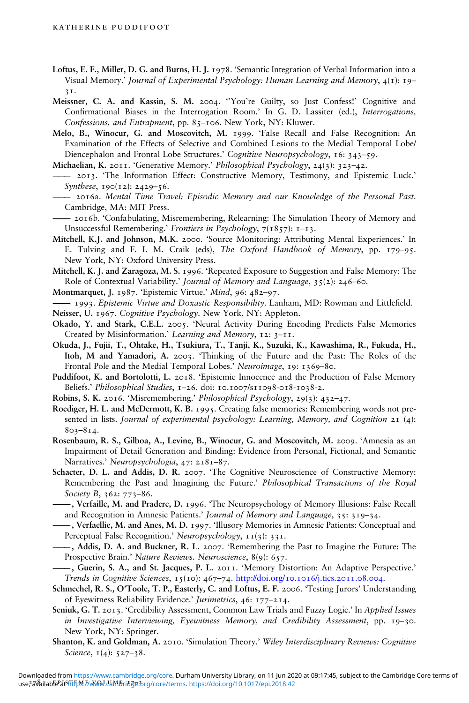- Loftus, E. F., Miller, D. G. and Burns, H. J. 1978. 'Semantic Integration of Verbal Information into a Visual Memory.' Journal of Experimental Psychology: Human Learning and Memory, 4(1): 19– 31.
- Meissner, C. A. and Kassin, S. M. 2004. ''You're Guilty, so Just Confess!' Cognitive and Confirmational Biases in the Interrogation Room.' In G. D. Lassiter (ed.), Interrogations, Confessions, and Entrapment, pp. 85–106. New York, NY: Kluwer.
- Melo, B., Winocur, G. and Moscovitch, M. 1999. 'False Recall and False Recognition: An Examination of the Effects of Selective and Combined Lesions to the Medial Temporal Lobe/ Diencephalon and Frontal Lobe Structures.' Cognitive Neuropsychology, 16: 343–59.
- Michaelian, K. 2011. 'Generative Memory.' Philosophical Psychology, 24(3): 323–42.
- ——— 2013. 'The Information Effect: Constructive Memory, Testimony, and Epistemic Luck.' Synthese, 190(12): 2429–56.
- 2016a. Mental Time Travel: Episodic Memory and our Knowledge of the Personal Past. Cambridge, MA: MIT Press.
- ——— 2016b. 'Confabulating, Misremembering, Relearning: The Simulation Theory of Memory and Unsuccessful Remembering.' Frontiers in Psychology, 7(1857): 1-13.
- Mitchell, K.J. and Johnson, M.K. 2000. 'Source Monitoring: Attributing Mental Experiences.' In E. Tulving and F. I. M. Craik (eds), The Oxford Handbook of Memory, pp. 179–95. New York, NY: Oxford University Press.
- Mitchell, K. J. and Zaragoza, M. S. 1996. 'Repeated Exposure to Suggestion and False Memory: The Role of Contextual Variability.' Journal of Memory and Language, 35(2): 246–60.
- Montmarquet, J. 1987. 'Epistemic Virtue.' Mind, 96: 482–97.
- 1993. Epistemic Virtue and Doxastic Responsibility. Lanham, MD: Rowman and Littlefield.
- Neisser, U. 1967. Cognitive Psychology. New York, NY: Appleton.
- Okado, Y. and Stark, C.E.L. 2005. 'Neural Activity During Encoding Predicts False Memories Created by Misinformation.' Learning and Memory, 12: 3–11.
- Okuda, J., Fujii, T., Ohtake, H., Tsukiura, T., Tanji, K., Suzuki, K., Kawashima, R., Fukuda, H., Itoh, M and Yamadori, A. 2003. 'Thinking of the Future and the Past: The Roles of the Frontal Pole and the Medial Temporal Lobes.' Neuroimage, 19: 1369–80.
- Puddifoot, K. and Bortolotti, L. 2018. 'Epistemic Innocence and the Production of False Memory Beliefs.' Philosophical Studies, 1-26. doi: 10.1007/S11098-018-1038-2.
- Robins, S. K. 2016. 'Misremembering.' Philosophical Psychology, 29(3): 432–47.
- Roediger, H. L. and McDermott, K. B. 1995. Creating false memories: Remembering words not presented in lists. Journal of experimental psychology: Learning, Memory, and Cognition 21 (4): 803–814.
- Rosenbaum, R. S., Gilboa, A., Levine, B., Winocur, G. and Moscovitch, M. 2009. 'Amnesia as an Impairment of Detail Generation and Binding: Evidence from Personal, Fictional, and Semantic Narratives.' Neuropsychologia, 47: 2181–87.
- Schacter, D. L. and Addis, D. R. 2007. 'The Cognitive Neuroscience of Constructive Memory: Remembering the Past and Imagining the Future.' Philosophical Transactions of the Royal Society B, 362: 773–86.
- ———, Verfaille, M. and Pradere, D. 1996. 'The Neuropsychology of Memory Illusions: False Recall and Recognition in Amnesic Patients.' Journal of Memory and Language, 35: 319–34.
- ———, Verfaellie, M. and Anes, M. D. 1997. 'Illusory Memories in Amnesic Patients: Conceptual and Perceptual False Recognition.' Neuropsychology, 11(3): 331.
- ———, Addis, D. A. and Buckner, R. L. 2007. 'Remembering the Past to Imagine the Future: The Prospective Brain.' Nature Reviews. Neuroscience, 8(9): 657.
- ———, Guerin, S. A., and St. Jacques, P. L. 2011. 'Memory Distortion: An Adaptive Perspective.' Trends in Cognitive Sciences, 15(10): 467–74. <http://doi.org/10.1016/j.tics.2011.08.004>.
- Schmechel, R. S., O'Toole, T. P., Easterly, C. and Loftus, E. F. 2006. 'Testing Jurors' Understanding of Eyewitness Reliability Evidence.' Jurimetrics, 46: 177–214.
- Seniuk, G. T. 2013. 'Credibility Assessment, Common Law Trials and Fuzzy Logic.' In Applied Issues in Investigative Interviewing, Eyewitness Memory, and Credibility Assessment, pp. 19–30. New York, NY: Springer.
- Shanton, K. and Goldman, A. 2010. 'Simulation Theory.' Wiley Interdisciplinary Reviews: Cognitive Science, 1(4): 527-38.